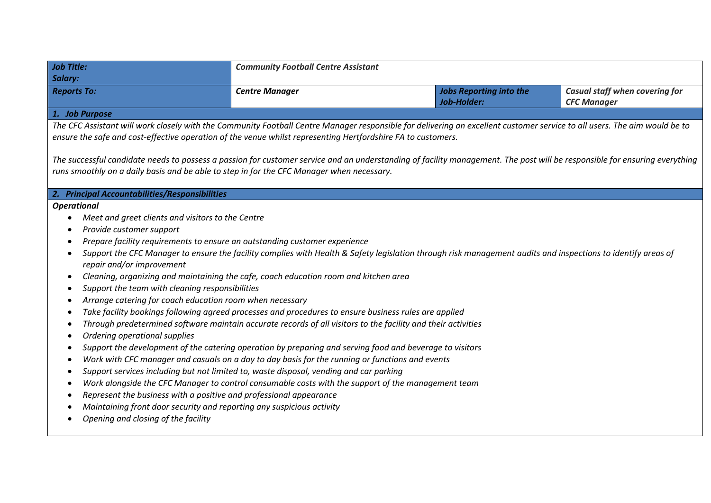| <b>Job Title:</b><br>Salary:                                                                                                                                                                                                                                                                                                                                                                                                                                                                                                                                                                                                                                                                                                                                                                                                                                                                                                                                                                                                                                                                                                                                                                                                                                                          | <b>Community Football Centre Assistant</b> |                                                                                                                                                              |                                                      |  |
|---------------------------------------------------------------------------------------------------------------------------------------------------------------------------------------------------------------------------------------------------------------------------------------------------------------------------------------------------------------------------------------------------------------------------------------------------------------------------------------------------------------------------------------------------------------------------------------------------------------------------------------------------------------------------------------------------------------------------------------------------------------------------------------------------------------------------------------------------------------------------------------------------------------------------------------------------------------------------------------------------------------------------------------------------------------------------------------------------------------------------------------------------------------------------------------------------------------------------------------------------------------------------------------|--------------------------------------------|--------------------------------------------------------------------------------------------------------------------------------------------------------------|------------------------------------------------------|--|
| <b>Reports To:</b>                                                                                                                                                                                                                                                                                                                                                                                                                                                                                                                                                                                                                                                                                                                                                                                                                                                                                                                                                                                                                                                                                                                                                                                                                                                                    | <b>Centre Manager</b>                      | <b>Jobs Reporting into the</b><br>Job-Holder:                                                                                                                | Casual staff when covering for<br><b>CFC Manager</b> |  |
| 1. Job Purpose                                                                                                                                                                                                                                                                                                                                                                                                                                                                                                                                                                                                                                                                                                                                                                                                                                                                                                                                                                                                                                                                                                                                                                                                                                                                        |                                            |                                                                                                                                                              |                                                      |  |
| The CFC Assistant will work closely with the Community Football Centre Manager responsible for delivering an excellent customer service to all users. The aim would be to<br>ensure the safe and cost-effective operation of the venue whilst representing Hertfordshire FA to customers.                                                                                                                                                                                                                                                                                                                                                                                                                                                                                                                                                                                                                                                                                                                                                                                                                                                                                                                                                                                             |                                            |                                                                                                                                                              |                                                      |  |
| The successful candidate needs to possess a passion for customer service and an understanding of facility management. The post will be responsible for ensuring everything<br>runs smoothly on a daily basis and be able to step in for the CFC Manager when necessary.                                                                                                                                                                                                                                                                                                                                                                                                                                                                                                                                                                                                                                                                                                                                                                                                                                                                                                                                                                                                               |                                            |                                                                                                                                                              |                                                      |  |
| 2. Principal Accountabilities/Responsibilities                                                                                                                                                                                                                                                                                                                                                                                                                                                                                                                                                                                                                                                                                                                                                                                                                                                                                                                                                                                                                                                                                                                                                                                                                                        |                                            |                                                                                                                                                              |                                                      |  |
| <b>Operational</b><br>Meet and greet clients and visitors to the Centre<br>Provide customer support<br>Prepare facility requirements to ensure an outstanding customer experience<br>repair and/or improvement<br>Cleaning, organizing and maintaining the cafe, coach education room and kitchen area<br>Support the team with cleaning responsibilities<br>Arrange catering for coach education room when necessary<br>Take facility bookings following agreed processes and procedures to ensure business rules are applied<br>Through predetermined software maintain accurate records of all visitors to the facility and their activities<br>Ordering operational supplies<br>Support the development of the catering operation by preparing and serving food and beverage to visitors<br>Work with CFC manager and casuals on a day to day basis for the running or functions and events<br>Support services including but not limited to, waste disposal, vending and car parking<br>Work alongside the CFC Manager to control consumable costs with the support of the management team<br>Represent the business with a positive and professional appearance<br>Maintaining front door security and reporting any suspicious activity<br>Opening and closing of the facility |                                            | Support the CFC Manager to ensure the facility complies with Health & Safety legislation through risk management audits and inspections to identify areas of |                                                      |  |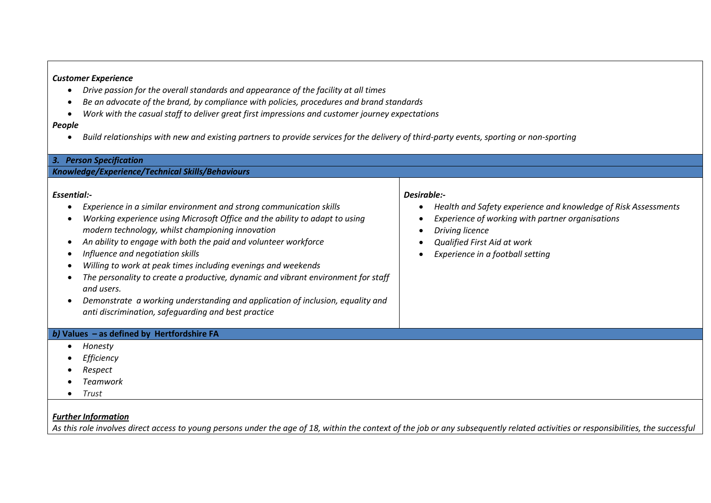## *Customer Experience*

- *Drive passion for the overall standards and appearance of the facility at all times*
- *Be an advocate of the brand, by compliance with policies, procedures and brand standards*
- *Work with the casual staff to deliver great first impressions and customer journey expectations*

## *People*

*Build relationships with new and existing partners to provide services for the delivery of third-party events, sporting or non-sporting* 

| 3. Person Specification                                                                                                                                                                                                                                                                                                                                                                                                                                                                                                                                                                                                                   |                                                                                                                                                                                                                         |  |  |
|-------------------------------------------------------------------------------------------------------------------------------------------------------------------------------------------------------------------------------------------------------------------------------------------------------------------------------------------------------------------------------------------------------------------------------------------------------------------------------------------------------------------------------------------------------------------------------------------------------------------------------------------|-------------------------------------------------------------------------------------------------------------------------------------------------------------------------------------------------------------------------|--|--|
| Knowledge/Experience/Technical Skills/Behaviours                                                                                                                                                                                                                                                                                                                                                                                                                                                                                                                                                                                          |                                                                                                                                                                                                                         |  |  |
| Essential:-<br>Experience in a similar environment and strong communication skills<br>Working experience using Microsoft Office and the ability to adapt to using<br>modern technology, whilst championing innovation<br>An ability to engage with both the paid and volunteer workforce<br>Influence and negotiation skills<br>Willing to work at peak times including evenings and weekends<br>The personality to create a productive, dynamic and vibrant environment for staff<br>and users.<br>Demonstrate a working understanding and application of inclusion, equality and<br>anti discrimination, safeguarding and best practice | Desirable:-<br>Health and Safety experience and knowledge of Risk Assessments<br>Experience of working with partner organisations<br>Driving licence<br>Qualified First Aid at work<br>Experience in a football setting |  |  |
| b) Values $-$ as defined by Hertfordshire FA                                                                                                                                                                                                                                                                                                                                                                                                                                                                                                                                                                                              |                                                                                                                                                                                                                         |  |  |
| Honesty                                                                                                                                                                                                                                                                                                                                                                                                                                                                                                                                                                                                                                   |                                                                                                                                                                                                                         |  |  |
| Efficiency                                                                                                                                                                                                                                                                                                                                                                                                                                                                                                                                                                                                                                |                                                                                                                                                                                                                         |  |  |
| Respect                                                                                                                                                                                                                                                                                                                                                                                                                                                                                                                                                                                                                                   |                                                                                                                                                                                                                         |  |  |
| Teamwork                                                                                                                                                                                                                                                                                                                                                                                                                                                                                                                                                                                                                                  |                                                                                                                                                                                                                         |  |  |
| Trust<br>$\bullet$                                                                                                                                                                                                                                                                                                                                                                                                                                                                                                                                                                                                                        |                                                                                                                                                                                                                         |  |  |
|                                                                                                                                                                                                                                                                                                                                                                                                                                                                                                                                                                                                                                           |                                                                                                                                                                                                                         |  |  |

## *Further Information*

*As this role involves direct access to young persons under the age of 18, within the context of the job or any subsequently related activities or responsibilities, the successful*